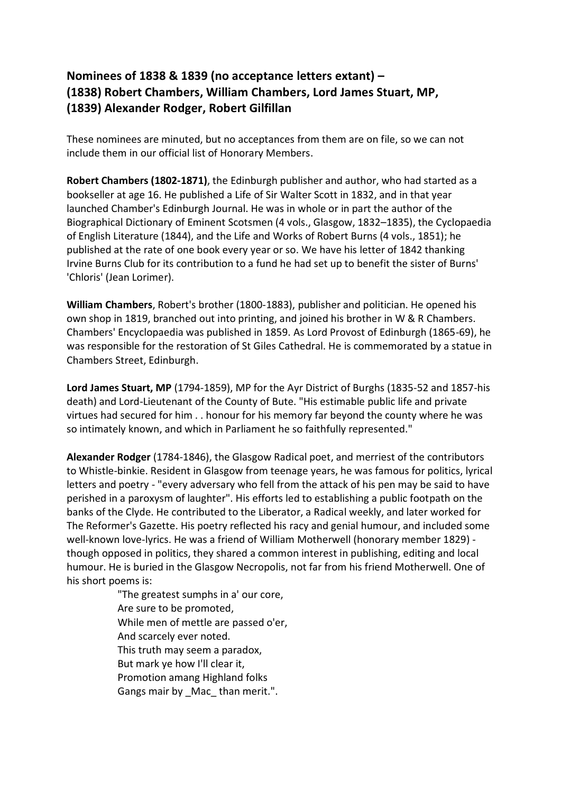## **Nominees of 1838 & 1839 (no acceptance letters extant) – (1838) Robert Chambers, William Chambers, Lord James Stuart, MP, (1839) Alexander Rodger, Robert Gilfillan**

These nominees are minuted, but no acceptances from them are on file, so we can not include them in our official list of Honorary Members.

**Robert Chambers (1802-1871)**, the Edinburgh publisher and author, who had started as a bookseller at age 16. He published a Life of Sir Walter Scott in 1832, and in that year launched Chamber's Edinburgh Journal. He was in whole or in part the author of the Biographical Dictionary of Eminent Scotsmen (4 vols., Glasgow, 1832–1835), the Cyclopaedia of English Literature (1844), and the Life and Works of Robert Burns (4 vols., 1851); he published at the rate of one book every year or so. We have his letter of 1842 thanking Irvine Burns Club for its contribution to a fund he had set up to benefit the sister of Burns' 'Chloris' (Jean Lorimer).

**William Chambers**, Robert's brother (1800-1883), publisher and politician. He opened his own shop in 1819, branched out into printing, and joined his brother in W & R Chambers. Chambers' Encyclopaedia was published in 1859. As Lord Provost of Edinburgh (1865-69), he was responsible for the restoration of St Giles Cathedral. He is commemorated by a statue in Chambers Street, Edinburgh.

**Lord James Stuart, MP** (1794-1859), MP for the Ayr District of Burghs (1835-52 and 1857-his death) and Lord-Lieutenant of the County of Bute. "His estimable public life and private virtues had secured for him . . honour for his memory far beyond the county where he was so intimately known, and which in Parliament he so faithfully represented."

**Alexander Rodger** (1784-1846), the Glasgow Radical poet, and merriest of the contributors to Whistle-binkie. Resident in Glasgow from teenage years, he was famous for politics, lyrical letters and poetry - "every adversary who fell from the attack of his pen may be said to have perished in a paroxysm of laughter". His efforts led to establishing a public footpath on the banks of the Clyde. He contributed to the Liberator, a Radical weekly, and later worked for The Reformer's Gazette. His poetry reflected his racy and genial humour, and included some well-known love-lyrics. He was a friend of William Motherwell (honorary member 1829) though opposed in politics, they shared a common interest in publishing, editing and local humour. He is buried in the Glasgow Necropolis, not far from his friend Motherwell. One of his short poems is:

> "The greatest sumphs in a' our core, Are sure to be promoted, While men of mettle are passed o'er, And scarcely ever noted. This truth may seem a paradox, But mark ye how I'll clear it, Promotion amang Highland folks Gangs mair by Mac than merit.".